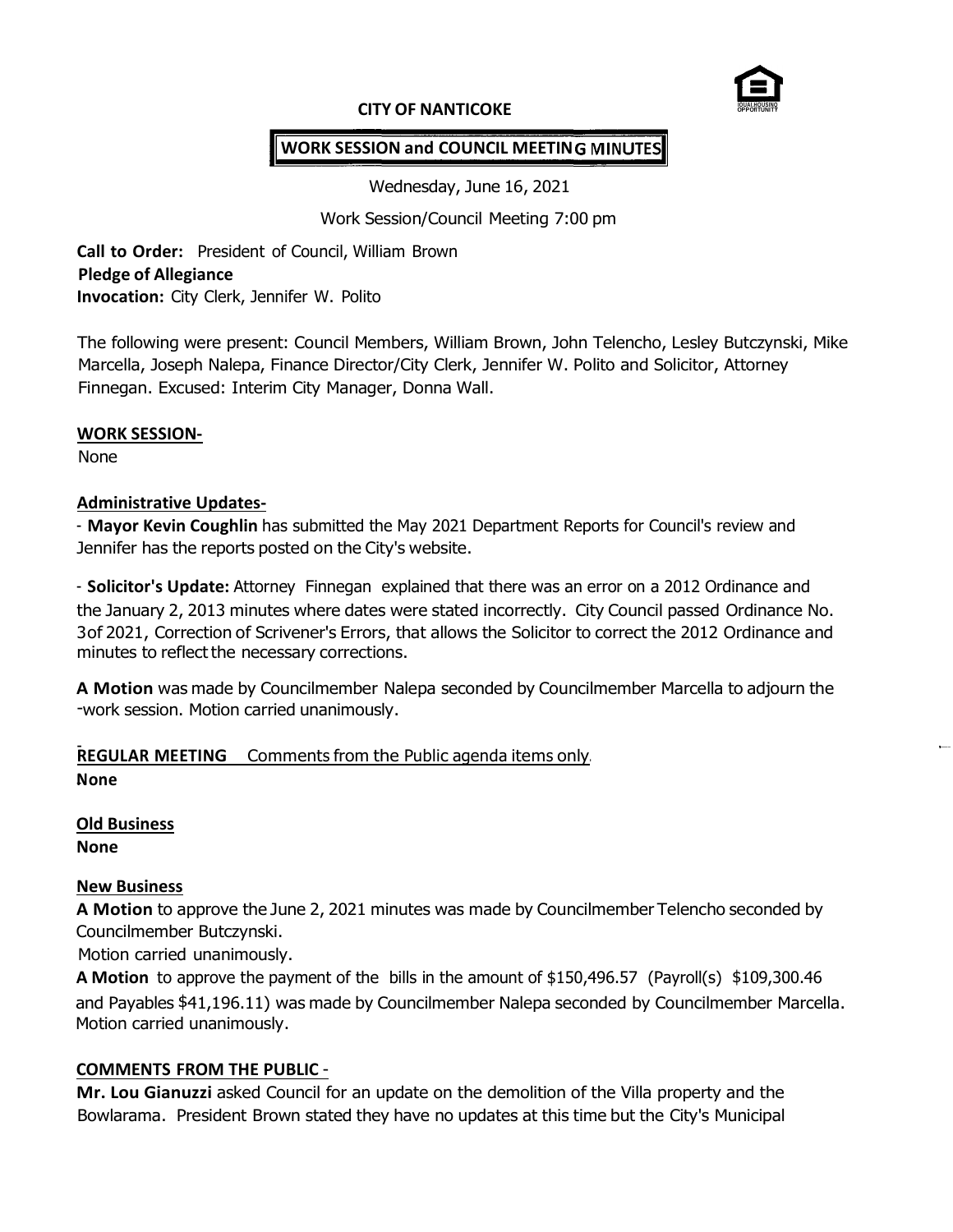

#### **CITY OF NANTICOKE**

# **WORK SESSION and COUNCIL MEETIN**

Wednesday, June 16, 2021

Work Session/Council Meeting 7:00 pm

**Call to Order:** President of Council, William Brown **Pledge of Allegiance Invocation:** City Clerk, Jennifer W. Polito

The following were present: Council Members, William Brown, John Telencho, Lesley Butczynski, Mike Marcella, Joseph Nalepa, Finance Director/City Clerk, Jennifer W. Polito and Solicitor, Attorney Finnegan. Excused: Interim City Manager, Donna Wall.

### **WORK SESSION-**

None

### **Administrative Updates-**

- **Mayor Kevin Coughlin** has submitted the May 2021 Department Reports for Council's review and Jennifer has the reports posted on the City's website.

- **Solicitor's Update:** Attorney Finnegan explained that there was an error on a 2012 Ordinance and the January 2, 2013 minutes where dates were stated incorrectly. City Council passed Ordinance No. 3 of 2021, Correction of Scrivener's Errors, that allows the Solicitor to correct the 2012 Ordinance and minutes to reflect the necessary corrections.

**A Motion** was made by Councilmember Nalepa seconded by Councilmember Marcella to adjourn the -work session. Motion carried unanimously.

**REGULAR MEETING** Comments from the Public agenda items only. **N**- **one**

**Old Business None**

### **New Business**

**A Motion** to approve the June 2, 2021 minutes was made by Councilmember Telencho seconded by Councilmember Butczynski.

Motion carried unanimously.

**A Motion** to approve the payment of the bills in the amount of \$150,496.57 (Payroll(s) \$109,300.46 and Payables \$41,196.11) was made by Councilmember Nalepa seconded by Councilmember Marcella. Motion carried unanimously.

### **COMMENTS FROM THE PUBLIC** -

**Mr. Lou Gianuzzi** asked Council for an update on the demolition of the Villa property and the Bowlarama. President Brown stated they have no updates at this time but the City's Municipal